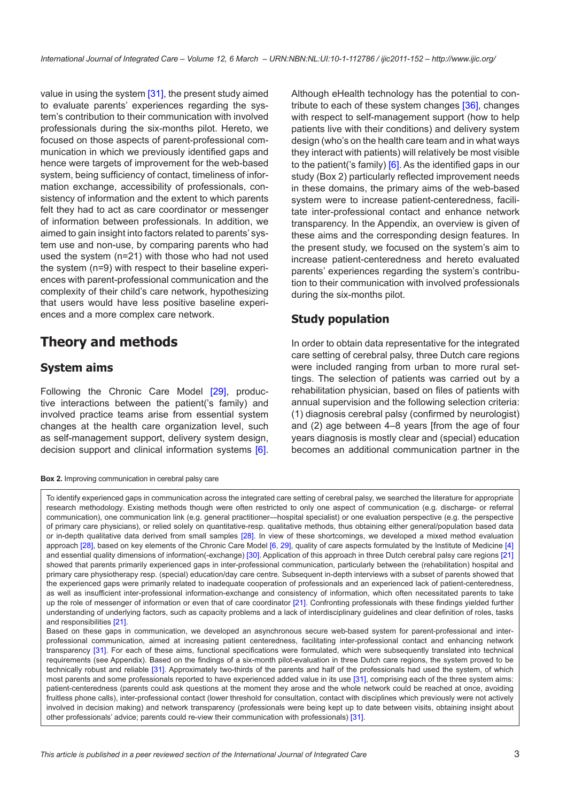value in using the system [[31\]](#page-10-0), the present study aimed to evaluate parents' experiences regarding the system's contribution to their communication with involved professionals during the six-months pilot. Hereto, we focused on those aspects of parent-professional communication in which we previously identified gaps and hence were targets of improvement for the web-based system, being sufficiency of contact, timeliness of information exchange, accessibility of professionals, consistency of information and the extent to which parents felt they had to act as care coordinator or messenger of information between professionals. In addition, we aimed to gain insight into factors related to parents' system use and non-use, by comparing parents who had used the system (n=21) with those who had not used the system (n=9) with respect to their baseline experiences with parent-professional communication and the complexity of their child's care network, hypothesizing that users would have less positive baseline experiences and a more complex care network.

# **Theory and methods**

#### **System aims**

Following the Chronic Care Model [[29\]](#page-10-0), productive interactions between the patient('s family) and involved practice teams arise from essential system changes at the health care organization level, such as self-management support, delivery system design, decision support and clinical information systems [[6](#page-9-0)].

**Box 2.** Improving communication in cerebral palsy care

Although eHealth technology has the potential to contribute to each of these system changes [\[36\]](#page-10-0), changes with respect to self-management support (how to help patients live with their conditions) and delivery system design (who's on the health care team and in what ways they interact with patients) will relatively be most visible to the patient('s family) [[6](#page-9-0)]. As the identified gaps in our study (Box 2) particularly reflected improvement needs in these domains, the primary aims of the web-based system were to increase patient-centeredness, facilitate inter-professional contact and enhance network transparency. In the Appendix, an overview is given of these aims and the corresponding design features. In the present study, we focused on the system's aim to increase patient-centeredness and hereto evaluated parents' experiences regarding the system's contribution to their communication with involved professionals during the six-months pilot.

#### **Study population**

In order to obtain data representative for the integrated care setting of cerebral palsy, three Dutch care regions were included ranging from urban to more rural settings. The selection of patients was carried out by a rehabilitation physician, based on files of patients with annual supervision and the following selection criteria: (1) diagnosis cerebral palsy (confirmed by neurologist) and (2) age between 4–8 years [from the age of four years diagnosis is mostly clear and (special) education becomes an additional communication partner in the

To identify experienced gaps in communication across the integrated care setting of cerebral palsy, we searched the literature for appropriate research methodology. Existing methods though were often restricted to only one aspect of communication (e.g. discharge- or referral communication), one communication link (e.g. general practitioner—hospital specialist) or one evaluation perspective (e.g. the perspective of primary care physicians), or relied solely on quantitative-resp. qualitative methods, thus obtaining either general/population based data or in-depth qualitative data derived from small samples [\[28](#page-10-0)]. In view of these shortcomings, we developed a mixed method evaluation approach [[28\]](#page-10-0), based on key elements of the Chronic Care Model [[6](#page-9-0), [29](#page-10-0)], quality of care aspects formulated by the Institute of Medicine [[4](#page-9-0)] and essential quality dimensions of information(-exchange) [\[30](#page-10-0)]. Application of this approach in three Dutch cerebral palsy care regions [\[21](#page-10-0)] showed that parents primarily experienced gaps in inter-professional communication, particularly between the (rehabilitation) hospital and primary care physiotherapy resp. (special) education/day care centre. Subsequent in-depth interviews with a subset of parents showed that the experienced gaps were primarily related to inadequate cooperation of professionals and an experienced lack of patient-centeredness, as well as insufficient inter-professional information-exchange and consistency of information, which often necessitated parents to take up the role of messenger of information or even that of care coordinator [[21\]](#page-10-0). Confronting professionals with these findings yielded further understanding of underlying factors, such as capacity problems and a lack of interdisciplinary guidelines and clear definition of roles, tasks and responsibilities [\[21](#page-10-0)].

Based on these gaps in communication, we developed an asynchronous secure web-based system for parent-professional and interprofessional communication, aimed at increasing patient centeredness, facilitating inter-professional contact and enhancing network transparency [\[31](#page-10-0)]. For each of these aims, functional specifications were formulated, which were subsequently translated into technical requirements (see Appendix). Based on the findings of a six-month pilot-evaluation in three Dutch care regions, the system proved to be technically robust and reliable [[31](#page-10-0)]. Approximately two-thirds of the parents and half of the professionals had used the system, of which most parents and some professionals reported to have experienced added value in its use [\[31](#page-10-0)], comprising each of the three system aims: patient-centeredness (parents could ask questions at the moment they arose and the whole network could be reached at once, avoiding fruitless phone calls), inter-professional contact (lower threshold for consultation, contact with disciplines which previously were not actively involved in decision making) and network transparency (professionals were being kept up to date between visits, obtaining insight about other professionals' advice; parents could re-view their communication with professionals) [\[31](#page-10-0)].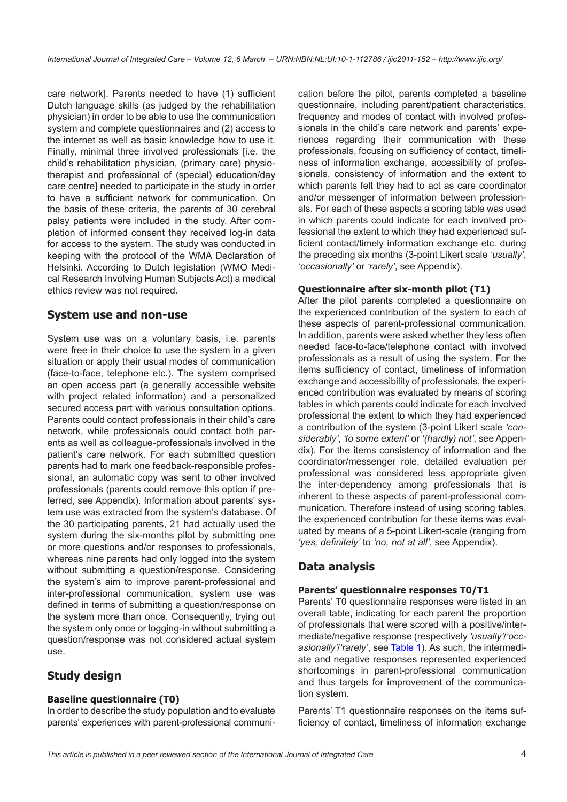care network]. Parents needed to have (1) sufficient Dutch language skills (as judged by the rehabilitation physician) in order to be able to use the communication system and complete questionnaires and (2) access to the internet as well as basic knowledge how to use it. Finally, minimal three involved professionals [i.e. the child's rehabilitation physician, (primary care) physiotherapist and professional of (special) education/day care centre] needed to participate in the study in order to have a sufficient network for communication. On the basis of these criteria, the parents of 30 cerebral palsy patients were included in the study. After completion of informed consent they received log-in data for access to the system. The study was conducted in keeping with the protocol of the WMA Declaration of Helsinki. According to Dutch legislation (WMO Medical Research Involving Human Subjects Act) a medical ethics review was not required.

#### **System use and non-use**

System use was on a voluntary basis, i.e. parents were free in their choice to use the system in a given situation or apply their usual modes of communication (face-to-face, telephone etc.). The system comprised an open access part (a generally accessible website with project related information) and a personalized secured access part with various consultation options. Parents could contact professionals in their child's care network, while professionals could contact both parents as well as colleague-professionals involved in the patient's care network. For each submitted question parents had to mark one feedback-responsible professional, an automatic copy was sent to other involved professionals (parents could remove this option if preferred, see Appendix). Information about parents' system use was extracted from the system's database. Of the 30 participating parents, 21 had actually used the system during the six-months pilot by submitting one or more questions and/or responses to professionals, whereas nine parents had only logged into the system without submitting a question/response. Considering the system's aim to improve parent-professional and inter-professional communication, system use was defined in terms of submitting a question/response on the system more than once. Consequently, trying out the system only once or logging-in without submitting a question/response was not considered actual system use.

### **Study design**

#### **Baseline questionnaire (T0)**

In order to describe the study population and to evaluate parents' experiences with parent-professional communi-

cation before the pilot, parents completed a baseline questionnaire, including parent/patient characteristics, frequency and modes of contact with involved professionals in the child's care network and parents' experiences regarding their communication with these professionals, focusing on sufficiency of contact, timeliness of information exchange, accessibility of professionals, consistency of information and the extent to which parents felt they had to act as care coordinator and/or messenger of information between professionals. For each of these aspects a scoring table was used in which parents could indicate for each involved professional the extent to which they had experienced sufficient contact/timely information exchange etc. during the preceding six months (3-point Likert scale *'usually'*, *'occasionally'* or *'rarely'*, see Appendix).

#### **Questionnaire after six-month pilot (T1)**

After the pilot parents completed a questionnaire on the experienced contribution of the system to each of these aspects of parent-professional communication. In addition, parents were asked whether they less often needed face-to-face/telephone contact with involved professionals as a result of using the system. For the items sufficiency of contact, timeliness of information exchange and accessibility of professionals, the experienced contribution was evaluated by means of scoring tables in which parents could indicate for each involved professional the extent to which they had experienced a contribution of the system (3-point Likert scale *'considerably'*, *'to some extent'* or *'(hardly) not'*, see Appendix). For the items consistency of information and the coordinator/messenger role, detailed evaluation per professional was considered less appropriate given the inter-dependency among professionals that is inherent to these aspects of parent-professional communication. Therefore instead of using scoring tables, the experienced contribution for these items was evaluated by means of a 5-point Likert-scale (ranging from *'yes, definitely'* to *'no, not at all'*, see Appendix).

### **Data analysis**

#### **Parents' questionnaire responses T0/T1**

Parents' T0 questionnaire responses were listed in an overall table, indicating for each parent the proportion of professionals that were scored with a positive/intermediate/negative response (respectively *'usually'*/*'occasionally'*/*'rarely'*, see [Table 1\)](#page-4-0). As such, the intermediate and negative responses represented experienced shortcomings in parent-professional communication and thus targets for improvement of the communication system.

Parents' T1 questionnaire responses on the items sufficiency of contact, timeliness of information exchange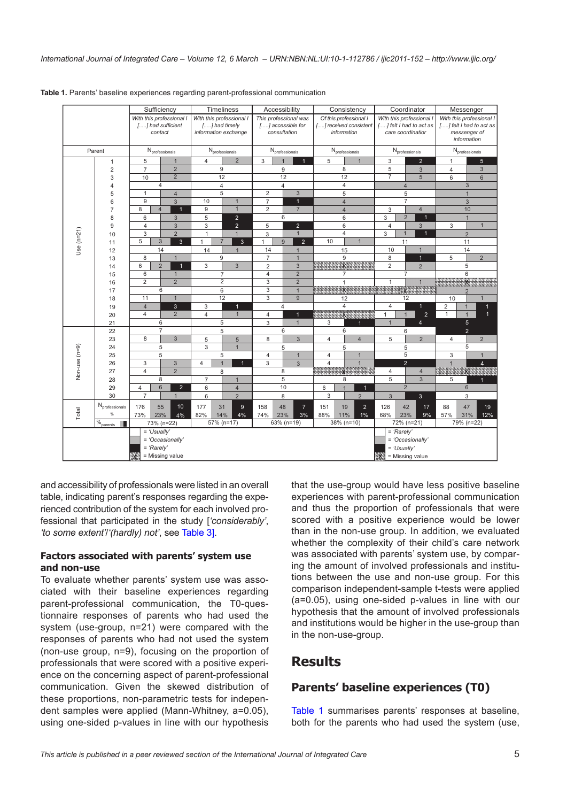|               |                             |                                                                       | Sufficiency                           |                         | Timeliness                                                        |                                                            | Accessibility                  |                                |                                                                 | Consistency           |                          |                                                                          | Coordinator                         |                                  |                                                                                    | Messenger      |                 |  |
|---------------|-----------------------------|-----------------------------------------------------------------------|---------------------------------------|-------------------------|-------------------------------------------------------------------|------------------------------------------------------------|--------------------------------|--------------------------------|-----------------------------------------------------------------|-----------------------|--------------------------|--------------------------------------------------------------------------|-------------------------------------|----------------------------------|------------------------------------------------------------------------------------|----------------|-----------------|--|
|               |                             | With this professional I                                              | [] had sufficient<br>contact          |                         | With this professional I<br>[] had timely<br>information exchange | This professional was<br>[] accessible for<br>consultation |                                |                                | Of this professional I<br>[] received consistent<br>information |                       |                          | With this professional I<br>[] felt I had to act as<br>care coordination |                                     |                                  | With this professional I<br>[] felt I had to act as<br>messenger of<br>information |                |                 |  |
|               | Parent                      |                                                                       | $N_{\text{professionals}}$            |                         | $\rm N_{\rm professionals}$                                       | N <sub>professionals</sub>                                 |                                |                                | $\rm N_{\rm professionals}$                                     |                       |                          | $N_{\text{professionals}}$                                               |                                     |                                  | N <sub>professionals</sub>                                                         |                |                 |  |
| $\mathbf{1}$  |                             | 5                                                                     | $\mathbf{1}$                          | $\overline{4}$          | $\overline{2}$                                                    | 3<br>$\mathbf{1}$<br>$\mathbf{1}$                          |                                |                                | 5<br>$\mathbf{1}$                                               |                       |                          | $\overline{2}$<br>3                                                      |                                     |                                  | $\mathbf{1}$                                                                       |                | $5\phantom{.0}$ |  |
|               | $\overline{2}$              | $\overline{7}$                                                        | $\overline{2}$<br>$\overline{2}$      |                         | 9                                                                 |                                                            | $\boldsymbol{9}$               |                                |                                                                 | 8                     |                          | 5<br>$\overline{7}$                                                      |                                     | 3                                | $\overline{4}$                                                                     |                | $\mathfrak{S}$  |  |
|               | 3                           | 10<br>$\overline{4}$                                                  |                                       |                         | 12<br>$\overline{4}$                                              | 12                                                         |                                |                                | 12<br>$\overline{4}$                                            |                       |                          | 5                                                                        |                                     |                                  | 6<br>$6\phantom{1}$<br>3                                                           |                |                 |  |
|               | 4<br>5                      | $\mathbf{1}$                                                          |                                       |                         | 5                                                                 | $\overline{4}$<br>$\overline{2}$<br>3                      |                                |                                |                                                                 | 5                     |                          |                                                                          | $\overline{4}$<br>5                 |                                  | $\mathbf{1}$                                                                       |                |                 |  |
|               | 6                           | $\overline{4}$<br>9<br>$\overline{3}$                                 |                                       | 10                      | $\overline{1}$                                                    | $\overline{7}$                                             | $\mathbf{1}$                   |                                | $\overline{4}$                                                  |                       |                          | $\overline{7}$                                                           |                                     |                                  | $\overline{3}$                                                                     |                |                 |  |
|               | $\overline{7}$              | 8                                                                     | $\overline{4}$<br>$\overline{1}$      | $\overline{9}$          | $\overline{1}$                                                    | $\overline{2}$                                             | $\overline{7}$                 |                                |                                                                 | $\overline{4}$        |                          |                                                                          | 3<br>$\overline{4}$                 |                                  |                                                                                    | 10             |                 |  |
|               | 8                           | 6<br>3                                                                |                                       | 5                       | $\overline{2}$                                                    |                                                            | 6                              |                                |                                                                 | 6                     |                          |                                                                          | $\overline{2}$<br>$\mathbf{1}$<br>3 |                                  | $\mathbf{1}$                                                                       |                |                 |  |
|               | 9                           | $\overline{4}$                                                        | $\mathfrak{S}$                        | 3                       | $\overline{2}$                                                    | 5                                                          | $\overline{2}$                 |                                |                                                                 | 6                     |                          | $\overline{4}$                                                           |                                     | $\mathbf{3}$                     | 3                                                                                  |                | $\overline{1}$  |  |
| Use $(n=21)$  | 10                          | 3                                                                     | $\overline{2}$                        | $\mathbf{1}$            | $\mathbf{1}$                                                      | 3                                                          | $\mathbf{1}$                   |                                |                                                                 | $\overline{4}$        |                          | 3                                                                        | $\overline{1}$                      | $\mathbf{1}$                     |                                                                                    | $\overline{2}$ |                 |  |
|               | 11                          | 5<br>$\overline{3}$<br>3                                              |                                       | 1                       | 7<br>$\mathbf{3}$                                                 | $\mathbf{1}$                                               | 9                              | $\overline{2}$                 | 10<br>$\mathbf{1}$                                              |                       | 11                       |                                                                          | 11                                  |                                  |                                                                                    |                |                 |  |
|               | 12                          |                                                                       | 14                                    | 14                      | $\overline{1}$                                                    | 14<br>$\overline{7}$                                       | $\mathbf{1}$                   |                                |                                                                 | 15                    |                          | 10                                                                       |                                     | $\overline{1}$                   |                                                                                    | 14             | $\overline{2}$  |  |
|               | 13<br>14                    | 8<br>6                                                                | $\overline{1}$<br>$\overline{2}$<br>1 | 3                       | 9<br>$\mathfrak{S}$                                               | $\overline{2}$                                             | $\mathbf{1}$<br>$\mathfrak{S}$ |                                |                                                                 | $\boldsymbol{9}$<br>X |                          | 8<br>$\overline{2}$                                                      |                                     | $\overline{1}$<br>$\overline{2}$ | 5                                                                                  | 5              |                 |  |
|               | 15                          | 6                                                                     | $\mathbf{1}$                          |                         | $\overline{7}$                                                    | $\overline{4}$                                             | $\overline{2}$                 |                                |                                                                 | $\overline{7}$        |                          |                                                                          | $\overline{7}$                      |                                  |                                                                                    | 6              |                 |  |
|               | 16                          | $\overline{2}$                                                        | $\overline{2}$                        |                         | $\overline{2}$                                                    | $\overline{3}$                                             | $\overline{2}$                 |                                |                                                                 | $\mathbf{1}$          |                          | $\mathbf{1}$                                                             |                                     | $\overline{1}$                   |                                                                                    | X.             |                 |  |
|               | 17                          |                                                                       | 6                                     |                         | 6                                                                 | 3                                                          | $\mathbf{1}$                   |                                |                                                                 | X                     |                          |                                                                          | Reconomic                           |                                  |                                                                                    | $\overline{2}$ |                 |  |
|               | 18                          | 11<br>$\mathbf{1}$                                                    |                                       |                         | 12                                                                | 3<br>$\overline{9}$                                        |                                |                                | 12                                                              |                       |                          | 12                                                                       |                                     |                                  | 10                                                                                 |                |                 |  |
|               | 19                          | $\overline{4}$                                                        | 3                                     | 3                       | $\mathbf{1}$                                                      |                                                            | $\overline{4}$                 |                                |                                                                 | $\overline{4}$        |                          | $\overline{4}$                                                           |                                     | $\overline{1}$                   | $\overline{2}$                                                                     | $\mathbf{1}$   | 1               |  |
|               | 20                          | 4                                                                     | $\overline{2}$                        | $\overline{\mathbf{4}}$ | $\mathbf{1}$                                                      | 4                                                          | $\mathbf{1}$                   |                                |                                                                 |                       | X.                       | $\mathbf{1}$                                                             | $\overline{1}$                      | $\overline{2}$                   | $\mathbf{1}$                                                                       | $\overline{1}$ | $\mathbf{1}$    |  |
|               | 21                          |                                                                       | 6                                     |                         | 5                                                                 | 3<br>$\mathbf{1}$                                          |                                |                                | 3<br>1                                                          |                       |                          | $\overline{4}$<br>$\overline{1}$                                         |                                     |                                  |                                                                                    | 5              |                 |  |
|               | 22                          | 8                                                                     | $\overline{7}$                        |                         | 5                                                                 |                                                            | 6                              |                                |                                                                 | 6                     |                          |                                                                          | 6                                   |                                  |                                                                                    | $\overline{2}$ |                 |  |
|               | 23<br>24                    |                                                                       | $\mathfrak{S}$                        | 5<br>3                  | $\overline{5}$<br>$\overline{1}$                                  | 8                                                          | $\mathfrak{S}$<br>5            |                                | $\overline{4}$                                                  | 5                     | $\overline{4}$           | 5                                                                        |                                     | $\overline{2}$                   | $\overline{4}$                                                                     | 5              | $\sqrt{2}$      |  |
| Non-use (n=9) | 25                          | 5<br>5                                                                |                                       |                         | 5                                                                 | $\mathbf{1}$<br>$\overline{4}$                             |                                | $\overline{4}$<br>$\mathbf{1}$ |                                                                 |                       | 5<br>5                   |                                                                          |                                     | $\mathsf 3$                      |                                                                                    | $\mathbf{1}$   |                 |  |
|               | 26                          | 3                                                                     | $\sqrt{3}$                            | $\overline{4}$          | $\overline{1}$<br>$\mathbf{1}$                                    | 3                                                          | $\mathfrak{S}$                 |                                | $\overline{4}$                                                  |                       | $\mathbf{1}$             |                                                                          | $\overline{2}$                      |                                  | $\overline{1}$                                                                     |                | $\overline{4}$  |  |
|               | 27                          | $\overline{4}$                                                        | $\overline{2}$                        |                         | 8                                                                 |                                                            | 8                              |                                |                                                                 | X                     |                          | $\overline{4}$                                                           |                                     | $\overline{4}$                   |                                                                                    | $X$ .          |                 |  |
|               | 28                          |                                                                       | 8                                     | $\overline{7}$          | $\mathbf{1}$                                                      |                                                            | 5                              |                                |                                                                 | 8                     |                          | $\overline{5}$                                                           |                                     | $\overline{3}$                   | 5                                                                                  |                |                 |  |
|               | 29                          | $\overline{4}$                                                        | 6<br>$\overline{2}$                   | 6                       | $\overline{4}$                                                    |                                                            | 10                             |                                | 6                                                               | $\overline{1}$        | $\mathbf{1}$             |                                                                          | $\overline{2}$                      |                                  |                                                                                    | 6              |                 |  |
|               | 30                          | $\overline{7}$                                                        | $\mathbf{1}$                          | 6                       | $\overline{2}$                                                    |                                                            | 8                              |                                | 3                                                               |                       | $\overline{2}$           | $\overline{3}$                                                           |                                     | 3                                |                                                                                    | 3              |                 |  |
| Total         | $\rm N_{\rm professionals}$ | 176                                                                   | 10<br>55                              | 177                     | 31<br>9                                                           | 158                                                        | 48                             | $\overline{7}$                 | 151                                                             | 19                    | $\overline{2}$           | 126                                                                      | 42                                  | 17                               | 88                                                                                 | 47             | 19              |  |
|               | $\%$                        | 73%                                                                   | 23%<br>4%                             | 82%                     | 14%<br>4%                                                         | 74%                                                        | 23%                            | 3%                             | 88%                                                             | 11%                   | 1%                       | 68%                                                                      | 23%                                 | 9%                               | 57%                                                                                | 31%            | 12%             |  |
|               | $\%_{\text{parents}}$       |                                                                       | 73% (n=22)                            |                         | 57% (n=17)                                                        | 63% (n=19)<br>38% (n=10)                                   |                                |                                |                                                                 |                       | 72% (n=21)<br>79% (n=22) |                                                                          |                                     |                                  |                                                                                    |                |                 |  |
|               |                             | $=$ 'Usually'                                                         |                                       |                         |                                                                   |                                                            |                                |                                |                                                                 |                       |                          |                                                                          | $=$ 'Rarely'                        |                                  |                                                                                    |                |                 |  |
|               |                             | = 'Occasionally'<br>= 'Occasionally'<br>$=$ 'Usually'<br>$= 'Rarely'$ |                                       |                         |                                                                   |                                                            |                                |                                |                                                                 |                       |                          |                                                                          |                                     |                                  |                                                                                    |                |                 |  |
|               |                             | $\mathbf{x}$                                                          | = Missing value                       |                         |                                                                   |                                                            |                                |                                |                                                                 |                       |                          |                                                                          | <b>EXE = Missing value</b>          |                                  |                                                                                    |                |                 |  |
|               |                             |                                                                       |                                       |                         |                                                                   |                                                            |                                |                                |                                                                 |                       |                          |                                                                          |                                     |                                  |                                                                                    |                |                 |  |

<span id="page-4-0"></span>**Table 1.** Parents' baseline experiences regarding parent-professional communication

and accessibility of professionals were listed in an overall table, indicating parent's responses regarding the experienced contribution of the system for each involved professional that participated in the study [*'considerably'*, *'to some extent'*/*'(hardly) not'*, see [Table 3](#page-6-0)].

#### **Factors associated with parents' system use and non-use**

To evaluate whether parents' system use was associated with their baseline experiences regarding parent-professional communication, the T0-questionnaire responses of parents who had used the system (use-group, n=21) were compared with the responses of parents who had not used the system (non-use group, n=9), focusing on the proportion of professionals that were scored with a positive experience on the concerning aspect of parent-professional communication. Given the skewed distribution of these proportions, non-parametric tests for independent samples were applied (Mann-Whitney, a=0.05), using one-sided p-values in line with our hypothesis that the use-group would have less positive baseline experiences with parent-professional communication and thus the proportion of professionals that were scored with a positive experience would be lower than in the non-use group. In addition, we evaluated whether the complexity of their child's care network was associated with parents' system use, by comparing the amount of involved professionals and institutions between the use and non-use group. For this comparison independent-sample t-tests were applied (a=0.05), using one-sided p-values in line with our hypothesis that the amount of involved professionals and institutions would be higher in the use-group than in the non-use-group.

### **Results**

#### **Parents' baseline experiences (T0)**

Table 1 summarises parents' responses at baseline, both for the parents who had used the system (use,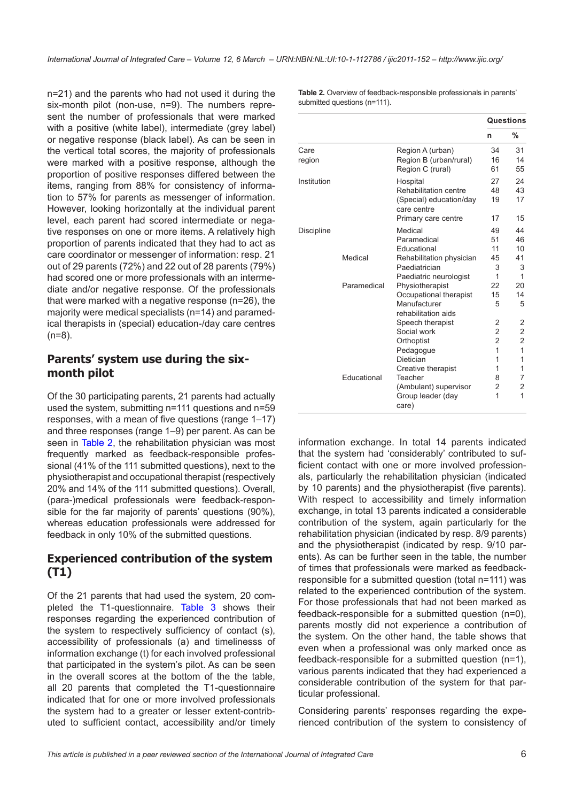n=21) and the parents who had not used it during the six-month pilot (non-use, n=9). The numbers represent the number of professionals that were marked with a positive (white label), intermediate (grey label) or negative response (black label). As can be seen in the vertical total scores, the majority of professionals were marked with a positive response, although the proportion of positive responses differed between the items, ranging from 88% for consistency of information to 57% for parents as messenger of information. However, looking horizontally at the individual parent level, each parent had scored intermediate or negative responses on one or more items. A relatively high proportion of parents indicated that they had to act as care coordinator or messenger of information: resp. 21 out of 29 parents (72%) and 22 out of 28 parents (79%) had scored one or more professionals with an intermediate and/or negative response. Of the professionals that were marked with a negative response (n=26), the majority were medical specialists (n=14) and paramedical therapists in (special) education-/day care centres  $(n=8)$ .

#### **Parents' system use during the sixmonth pilot**

Of the 30 participating parents, 21 parents had actually used the system, submitting n=111 questions and n=59 responses, with a mean of five questions (range 1–17) and three responses (range 1–9) per parent. As can be seen in Table 2, the rehabilitation physician was most frequently marked as feedback-responsible professional (41% of the 111 submitted questions), next to the physiotherapist and occupational therapist (respectively 20% and 14% of the 111 submitted questions). Overall, (para-)medical professionals were feedback-responsible for the far majority of parents' questions (90%), whereas education professionals were addressed for feedback in only 10% of the submitted questions.

### **Experienced contribution of the system (T1)**

Of the 21 parents that had used the system, 20 completed the T1-questionnaire. [Table 3](#page-6-0) shows their responses regarding the experienced contribution of the system to respectively sufficiency of contact (s), accessibility of professionals (a) and timelinesss of information exchange (t) for each involved professional that participated in the system's pilot. As can be seen in the overall scores at the bottom of the the table, all 20 parents that completed the T1-questionnaire indicated that for one or more involved professionals the system had to a greater or lesser extent-contributed to sufficient contact, accessibility and/or timely **Table 2.** Overview of feedback-responsible professionals in parents' submitted questions (n=111).

|             |             |                                        | Questions               |                         |  |
|-------------|-------------|----------------------------------------|-------------------------|-------------------------|--|
|             |             |                                        | n                       | %                       |  |
| Care        |             | Region A (urban)                       | 34                      | 31                      |  |
| region      |             | Region B (urban/rural)                 | 16                      | 14                      |  |
|             |             | Region C (rural)                       | 61                      | 55                      |  |
| Institution |             | Hospital                               | 27                      | 24                      |  |
|             |             | Rehabilitation centre                  | 48                      | 43                      |  |
|             |             | (Special) education/day<br>care centre | 19                      | 17                      |  |
|             |             | Primary care centre                    | 17                      | 15                      |  |
| Discipline  |             | Medical                                | 49                      | 44                      |  |
|             |             | Paramedical                            | 51                      | 46                      |  |
|             |             | Educational                            | 11                      | 10                      |  |
|             | Medical     | Rehabilitation physician               | 45                      | 41                      |  |
|             |             | Paediatrician                          | 3                       | 3                       |  |
|             |             | Paediatric neurologist                 | 1                       | $\mathbf{1}$            |  |
|             | Paramedical | Physiotherapist                        | 22                      | 20                      |  |
|             |             | Occupational therapist                 | 15                      | 14                      |  |
|             |             | Manufacturer                           | 5                       | 5                       |  |
|             |             | rehabilitation aids                    |                         |                         |  |
|             |             | Speech therapist                       | 2                       | 2                       |  |
|             |             | Social work                            | $\overline{\mathbf{c}}$ | $\overline{\mathbf{c}}$ |  |
|             |             | Orthoptist                             | $\overline{c}$          | $\overline{c}$          |  |
|             |             | Pedagogue                              | 1                       | $\overline{1}$          |  |
|             |             | Dietician                              | 1                       | 1                       |  |
|             |             | Creative therapist                     | 1                       | 1                       |  |
|             | Educational | Teacher                                | 8                       | 7                       |  |
|             |             | (Ambulant) supervisor                  | 2                       | 2                       |  |
|             |             | Group leader (day<br>care)             | 1                       | 1                       |  |

information exchange. In total 14 parents indicated that the system had 'considerably' contributed to sufficient contact with one or more involved professionals, particularly the rehabilitation physician (indicated by 10 parents) and the physiotherapist (five parents). With respect to accessibility and timely information exchange, in total 13 parents indicated a considerable contribution of the system, again particularly for the rehabilitation physician (indicated by resp. 8/9 parents) and the physiotherapist (indicated by resp. 9/10 parents). As can be further seen in the table, the number of times that professionals were marked as feedbackresponsible for a submitted question (total n=111) was related to the experienced contribution of the system. For those professionals that had not been marked as feedback-responsible for a submitted question (n=0), parents mostly did not experience a contribution of the system. On the other hand, the table shows that even when a professional was only marked once as feedback-responsible for a submitted question (n=1), various parents indicated that they had experienced a considerable contribution of the system for that particular professional.

Considering parents' responses regarding the experienced contribution of the system to consistency of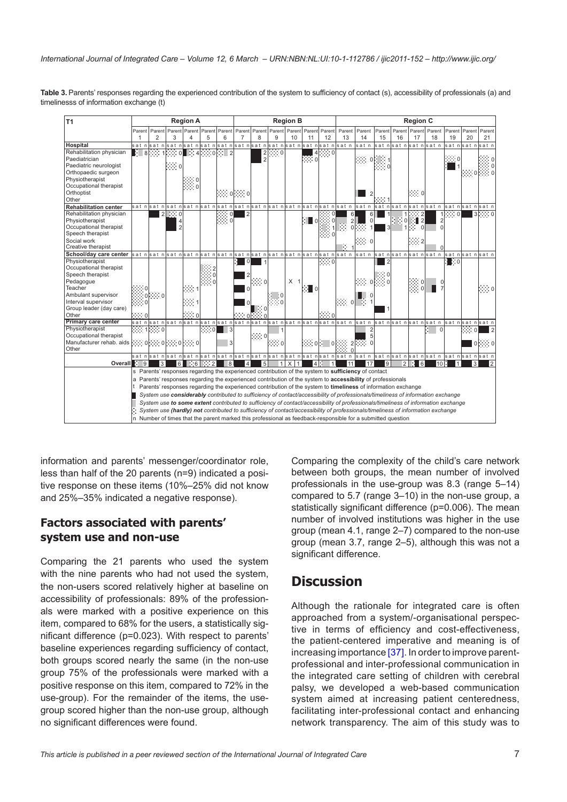<span id="page-6-0"></span>Table 3. Parents' responses regarding the experienced contribution of the system to sufficiency of contact (s), accessibility of professionals (a) and timelinesss of information exchange (t)

| T <sub>1</sub>                                                                                             | <b>Region A</b>                                                                                                                                                                                                                                |            |   |                       |                       |                                                                                |             |                | <b>Region B</b>          |                |                   |                  |                          |                                                                                                                                     | <b>Region C</b> |                                                                          |                |                |                      |                      |                |                |
|------------------------------------------------------------------------------------------------------------|------------------------------------------------------------------------------------------------------------------------------------------------------------------------------------------------------------------------------------------------|------------|---|-----------------------|-----------------------|--------------------------------------------------------------------------------|-------------|----------------|--------------------------|----------------|-------------------|------------------|--------------------------|-------------------------------------------------------------------------------------------------------------------------------------|-----------------|--------------------------------------------------------------------------|----------------|----------------|----------------------|----------------------|----------------|----------------|
|                                                                                                            | Parent Parent                                                                                                                                                                                                                                  |            |   |                       |                       | Parent Parent Parent                                                           | Parent      |                | Parent Parent Parent     |                |                   | l Parentl Parent | Parent                   | Parent                                                                                                                              | Parent          | Parent                                                                   | Parent         | Parent         | Parent               | Parent               | Parent         | Parent         |
|                                                                                                            |                                                                                                                                                                                                                                                | 2          |   | 3                     | 4                     | 5                                                                              | 6           | $\overline{7}$ | 8                        | 9              | 10                | 11               | 12                       | 13                                                                                                                                  | 14              | 15                                                                       | 16             | 17             | 18                   | 19                   | 20             | 21             |
| <b>Hospital</b>                                                                                            |                                                                                                                                                                                                                                                |            |   |                       |                       |                                                                                |             |                |                          |                |                   |                  |                          |                                                                                                                                     | satn            |                                                                          |                |                | sat nsat nsat nsat n |                      | sat nsat n     | sat n          |
| Rehabilitation physician                                                                                   |                                                                                                                                                                                                                                                |            |   | ☆ 8 ※※ 1☆※ ol         |                       | $\begin{array}{ c c c c c c c c c }\n\hline\n& 2 & 4 & 0 & 0 & 2\n\end{array}$ |             |                | $\overline{\mathbf{c}}$  | $\cdots$ 0     |                   | $\overline{4}$   | းေ၀                      |                                                                                                                                     |                 |                                                                          |                |                |                      |                      |                |                |
| Paediatrician                                                                                              |                                                                                                                                                                                                                                                |            |   |                       |                       |                                                                                |             |                | $\overline{\phantom{a}}$ |                |                   | ∷∷ o             |                          |                                                                                                                                     | $\cdots$ o      |                                                                          |                |                |                      | $\cdots$ 0           |                |                |
| Paediatric neurologist                                                                                     |                                                                                                                                                                                                                                                |            |   | $\mathbb{R} \times 0$ |                       |                                                                                |             |                |                          |                |                   |                  |                          |                                                                                                                                     |                 | $\begin{matrix} \vdots & \vdots & 1 \\ \vdots & \vdots & 0 \end{matrix}$ |                |                |                      |                      |                |                |
| Orthopaedic surgeon                                                                                        |                                                                                                                                                                                                                                                |            |   |                       |                       |                                                                                |             |                |                          |                |                   |                  |                          |                                                                                                                                     |                 |                                                                          |                |                |                      |                      | $\cdots 0$     |                |
| Physiotherapist                                                                                            |                                                                                                                                                                                                                                                |            |   |                       |                       |                                                                                |             |                |                          |                |                   |                  |                          |                                                                                                                                     |                 |                                                                          |                |                |                      |                      |                |                |
| Occupational therapist                                                                                     |                                                                                                                                                                                                                                                |            |   |                       |                       |                                                                                |             |                |                          |                |                   |                  |                          |                                                                                                                                     |                 |                                                                          |                |                |                      |                      |                |                |
| Orthoptist                                                                                                 |                                                                                                                                                                                                                                                |            |   |                       |                       |                                                                                |             | [∷∷ o[∷∷ o     |                          |                |                   |                  |                          |                                                                                                                                     |                 |                                                                          |                | ∷∷о            |                      |                      |                |                |
| Other                                                                                                      |                                                                                                                                                                                                                                                |            |   |                       |                       |                                                                                |             |                |                          |                |                   |                  |                          |                                                                                                                                     |                 |                                                                          |                |                |                      |                      |                |                |
| <b>Rehabilitation center</b>                                                                               |                                                                                                                                                                                                                                                |            |   |                       |                       |                                                                                |             |                |                          |                |                   |                  |                          | sat n sat n sat n sat n sat n sat n sat n sat n sat n sat n sat n sat n sat n                                                       | satn            |                                                                          |                |                | sat nsat nsat nsat n | sat nsat nsat n      |                |                |
| Rehabilitation physician                                                                                   |                                                                                                                                                                                                                                                |            |   | $2$ ::: 0             |                       |                                                                                | $\cdots$ of | $\overline{2}$ |                          |                |                   |                  |                          | 6                                                                                                                                   | 6               |                                                                          |                |                |                      | $1$ : $\therefore$ 0 | $\overline{3}$ |                |
| Physiotherapist                                                                                            |                                                                                                                                                                                                                                                |            |   | 4                     |                       |                                                                                | $\cdots$ 0  |                |                          |                |                   | ∷∎о              |                          | $\overline{2}$                                                                                                                      | $\mathbf 0$     |                                                                          | $\ddot{ }$ 0   | $\overline{2}$ |                      |                      |                |                |
| Occupational therapist                                                                                     |                                                                                                                                                                                                                                                |            |   | $\overline{2}$        |                       |                                                                                |             |                |                          |                |                   |                  |                          | $\Omega$                                                                                                                            |                 |                                                                          |                | $\Omega$       | $\Omega$             |                      |                |                |
| Speech therapist                                                                                           |                                                                                                                                                                                                                                                |            |   |                       |                       |                                                                                |             |                |                          |                |                   |                  |                          |                                                                                                                                     |                 |                                                                          |                |                |                      |                      |                |                |
| Social work                                                                                                |                                                                                                                                                                                                                                                |            |   |                       |                       |                                                                                |             |                |                          |                |                   |                  |                          |                                                                                                                                     |                 |                                                                          |                | $\cdots$ 2     |                      |                      |                |                |
| Creative therapist                                                                                         |                                                                                                                                                                                                                                                |            |   |                       |                       |                                                                                |             |                |                          |                |                   |                  |                          | R.                                                                                                                                  |                 |                                                                          |                |                |                      |                      |                |                |
| School/day care center sat n sat n sat n sat n sat n sat n sat n sat n sat n sat n sat n sat n sat n sat n |                                                                                                                                                                                                                                                |            |   |                       |                       |                                                                                |             |                |                          |                |                   |                  |                          |                                                                                                                                     | satn            |                                                                          |                |                | sat nsat nsat nsat n | sat nsat nsat n      |                |                |
| Physiotherapist                                                                                            |                                                                                                                                                                                                                                                |            |   |                       |                       |                                                                                |             | $\Omega$       |                          |                |                   |                  | $\mathbb{R}^n$ o         |                                                                                                                                     |                 | $\overline{2}$                                                           |                |                |                      | : ∷o                 |                |                |
| Occupational therapist                                                                                     |                                                                                                                                                                                                                                                |            |   |                       |                       |                                                                                |             |                |                          |                |                   |                  |                          |                                                                                                                                     |                 |                                                                          |                |                |                      |                      |                |                |
| Speech therapist                                                                                           |                                                                                                                                                                                                                                                |            |   |                       |                       |                                                                                |             |                |                          |                |                   |                  |                          |                                                                                                                                     |                 |                                                                          |                |                |                      |                      |                |                |
| Pedagogue                                                                                                  |                                                                                                                                                                                                                                                |            |   |                       |                       |                                                                                |             |                | ∷∷ o                     |                | X <sub>1</sub>    |                  |                          |                                                                                                                                     | ∷∷ o            | 振り 0                                                                     |                | 0              |                      |                      |                |                |
| Teacher                                                                                                    |                                                                                                                                                                                                                                                |            |   |                       | ka i                  |                                                                                |             |                |                          |                |                   | :∎о              |                          |                                                                                                                                     |                 |                                                                          |                | းေ၀            |                      |                      |                | းေ႐            |
| Ambulant supervisor                                                                                        |                                                                                                                                                                                                                                                | $\cdots$ 0 |   |                       |                       |                                                                                |             |                |                          |                |                   |                  |                          |                                                                                                                                     |                 |                                                                          |                |                |                      |                      |                |                |
| Interval supervisor                                                                                        |                                                                                                                                                                                                                                                |            |   |                       | ∷∷1                   |                                                                                |             |                |                          |                |                   |                  |                          | 除: o 下! 1                                                                                                                           |                 |                                                                          |                |                |                      |                      |                |                |
| Group leader (day care)                                                                                    |                                                                                                                                                                                                                                                |            |   |                       |                       |                                                                                |             |                | ြု (                     |                |                   |                  |                          |                                                                                                                                     |                 |                                                                          |                |                |                      |                      |                |                |
| Other                                                                                                      | ∷∙ ol                                                                                                                                                                                                                                          |            |   |                       | $\mathbb{R}\otimes 0$ |                                                                                |             | $\cdots$ of    |                          |                |                   |                  | $\mathbb{R}^3 \otimes 0$ |                                                                                                                                     |                 |                                                                          |                |                |                      |                      |                |                |
| <b>Primary care center</b>                                                                                 |                                                                                                                                                                                                                                                |            |   |                       |                       |                                                                                |             |                |                          |                |                   |                  |                          | sat n sat n sat n sat n sat n sat n sat n sat n sat n sat n sat n sat n sat n sat n sat n sat n sat n sat n sat n sat n sat n sat n |                 |                                                                          |                |                |                      |                      |                |                |
| Physiotherapist                                                                                            | 999.1999.0                                                                                                                                                                                                                                     |            |   |                       |                       | ःः                                                                             | 3           |                |                          |                |                   |                  |                          |                                                                                                                                     |                 |                                                                          |                |                | $\Omega$             |                      | $\cdots$ o     |                |
| Occupational therapist                                                                                     |                                                                                                                                                                                                                                                |            |   |                       |                       |                                                                                |             |                | $\cdots$ o               |                |                   |                  |                          |                                                                                                                                     |                 |                                                                          |                |                |                      |                      |                |                |
| Manufacturer rehab. aids ::::::: 0 ::::::: 0 ::::::: 0                                                     |                                                                                                                                                                                                                                                |            |   |                       |                       |                                                                                | 3           |                |                          | $\cdots$ o     |                   |                  |                          |                                                                                                                                     |                 |                                                                          |                |                |                      |                      |                | $0$ $\cdots$ 0 |
| Other                                                                                                      |                                                                                                                                                                                                                                                |            |   |                       |                       |                                                                                |             |                |                          |                |                   |                  |                          |                                                                                                                                     |                 |                                                                          |                |                |                      |                      |                |                |
|                                                                                                            |                                                                                                                                                                                                                                                |            |   |                       |                       |                                                                                |             |                |                          |                |                   |                  |                          | sat n sat n sat n sat n sat n sat n sat n sat n sat n sat n sat n sat n sat n sat n sat n sat n sat n sat n sat n sat n sat n sat   |                 |                                                                          |                |                |                      |                      |                |                |
| <b>Overall</b>                                                                                             | 9                                                                                                                                                                                                                                              |            | 3 | $6\vert$              |                       | $\frac{1}{100}$ 6 $\frac{1}{100}$ 2                                            | 8           | $\overline{4}$ | 5                        | $\overline{1}$ | X<br>$\mathbf{1}$ | $\overline{4}$   | H.<br>$\mathbf{1}$       | 11                                                                                                                                  | 17              | l9.                                                                      | $\overline{2}$ | 6              | 10                   |                      |                |                |
|                                                                                                            |                                                                                                                                                                                                                                                |            |   |                       |                       |                                                                                |             |                |                          |                |                   |                  |                          | s Parents' responses regarding the experienced contribution of the system to sufficiency of contact                                 |                 |                                                                          |                |                |                      |                      |                |                |
|                                                                                                            | a Parents' responses regarding the experienced contribution of the system to accessibility of professionals                                                                                                                                    |            |   |                       |                       |                                                                                |             |                |                          |                |                   |                  |                          |                                                                                                                                     |                 |                                                                          |                |                |                      |                      |                |                |
|                                                                                                            | Parents' responses regarding the experienced contribution of the system to timeliness of information exchange                                                                                                                                  |            |   |                       |                       |                                                                                |             |                |                          |                |                   |                  |                          |                                                                                                                                     |                 |                                                                          |                |                |                      |                      |                |                |
|                                                                                                            | System use considerably contributed to sufficiency of contact/accessibility of professionals/timeliness of information exchange                                                                                                                |            |   |                       |                       |                                                                                |             |                |                          |                |                   |                  |                          |                                                                                                                                     |                 |                                                                          |                |                |                      |                      |                |                |
|                                                                                                            | System use to some extent contributed to sufficiency of contact/accessibility of professionals/timeliness of information exchange                                                                                                              |            |   |                       |                       |                                                                                |             |                |                          |                |                   |                  |                          |                                                                                                                                     |                 |                                                                          |                |                |                      |                      |                |                |
|                                                                                                            |                                                                                                                                                                                                                                                |            |   |                       |                       |                                                                                |             |                |                          |                |                   |                  |                          |                                                                                                                                     |                 |                                                                          |                |                |                      |                      |                |                |
|                                                                                                            | System use (hardly) not contributed to sufficiency of contact/accessibility of professionals/timeliness of information exchange<br>n Number of times that the parent marked this professional as feedback-responsible for a submitted question |            |   |                       |                       |                                                                                |             |                |                          |                |                   |                  |                          |                                                                                                                                     |                 |                                                                          |                |                |                      |                      |                |                |
|                                                                                                            |                                                                                                                                                                                                                                                |            |   |                       |                       |                                                                                |             |                |                          |                |                   |                  |                          |                                                                                                                                     |                 |                                                                          |                |                |                      |                      |                |                |

information and parents' messenger/coordinator role, less than half of the 20 parents (n=9) indicated a positive response on these items (10%–25% did not know and 25%–35% indicated a negative response).

#### **Factors associated with parents' system use and non-use**

Comparing the 21 parents who used the system with the nine parents who had not used the system, the non-users scored relatively higher at baseline on accessibility of professionals: 89% of the professionals were marked with a positive experience on this item, compared to 68% for the users, a statistically significant difference (p=0.023). With respect to parents' baseline experiences regarding sufficiency of contact, both groups scored nearly the same (in the non-use group 75% of the professionals were marked with a positive response on this item, compared to 72% in the use-group). For the remainder of the items, the usegroup scored higher than the non-use group, although no significant differences were found.

Comparing the complexity of the child's care network between both groups, the mean number of involved professionals in the use-group was 8.3 (range 5–14) compared to 5.7 (range 3–10) in the non-use group, a statistically significant difference (p=0.006). The mean number of involved institutions was higher in the use group (mean 4.1, range 2–7) compared to the non-use group (mean 3.7, range 2–5), although this was not a significant difference.

## **Discussion**

Although the rationale for integrated care is often approached from a system/-organisational perspective in terms of efficiency and cost-effectiveness, the patient-centered imperative and meaning is of increasing importance [[37\]](#page-10-0). In order to improve parentprofessional and inter-professional communication in the integrated care setting of children with cerebral palsy, we developed a web-based communication system aimed at increasing patient centeredness, facilitating inter-professional contact and enhancing network transparency. The aim of this study was to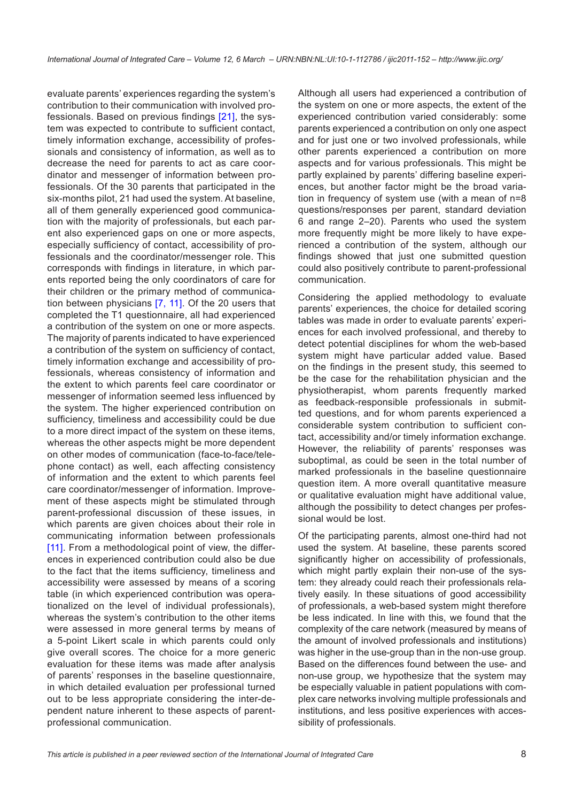evaluate parents' experiences regarding the system's contribution to their communication with involved professionals. Based on previous findings [\[21\]](#page-10-0), the system was expected to contribute to sufficient contact, timely information exchange, accessibility of professionals and consistency of information, as well as to decrease the need for parents to act as care coordinator and messenger of information between professionals. Of the 30 parents that participated in the six-months pilot, 21 had used the system. At baseline, all of them generally experienced good communication with the majority of professionals, but each parent also experienced gaps on one or more aspects, especially sufficiency of contact, accessibility of professionals and the coordinator/messenger role. This corresponds with findings in literature, in which parents reported being the only coordinators of care for their children or the primary method of communication between physicians [[7,](#page-9-0) [11](#page-9-0)]. Of the 20 users that completed the T1 questionnaire, all had experienced a contribution of the system on one or more aspects. The majority of parents indicated to have experienced a contribution of the system on sufficiency of contact, timely information exchange and accessibility of professionals, whereas consistency of information and the extent to which parents feel care coordinator or messenger of information seemed less influenced by the system. The higher experienced contribution on sufficiency, timeliness and accessibility could be due to a more direct impact of the system on these items, whereas the other aspects might be more dependent on other modes of communication (face-to-face/telephone contact) as well, each affecting consistency of information and the extent to which parents feel care coordinator/messenger of information. Improvement of these aspects might be stimulated through parent-professional discussion of these issues, in which parents are given choices about their role in communicating information between professionals [[11](#page-9-0)]. From a methodological point of view, the differences in experienced contribution could also be due to the fact that the items sufficiency, timeliness and accessibility were assessed by means of a scoring table (in which experienced contribution was operationalized on the level of individual professionals), whereas the system's contribution to the other items were assessed in more general terms by means of a 5-point Likert scale in which parents could only give overall scores. The choice for a more generic evaluation for these items was made after analysis of parents' responses in the baseline questionnaire, in which detailed evaluation per professional turned out to be less appropriate considering the inter-dependent nature inherent to these aspects of parentprofessional communication.

Although all users had experienced a contribution of the system on one or more aspects, the extent of the experienced contribution varied considerably: some parents experienced a contribution on only one aspect and for just one or two involved professionals, while other parents experienced a contribution on more aspects and for various professionals. This might be partly explained by parents' differing baseline experiences, but another factor might be the broad variation in frequency of system use (with a mean of n=8 questions/responses per parent, standard deviation 6 and range 2–20). Parents who used the system more frequently might be more likely to have experienced a contribution of the system, although our findings showed that just one submitted question could also positively contribute to parent-professional communication.

Considering the applied methodology to evaluate parents' experiences, the choice for detailed scoring tables was made in order to evaluate parents' experiences for each involved professional, and thereby to detect potential disciplines for whom the web-based system might have particular added value. Based on the findings in the present study, this seemed to be the case for the rehabilitation physician and the physiotherapist, whom parents frequently marked as feedback-responsible professionals in submitted questions, and for whom parents experienced a considerable system contribution to sufficient contact, accessibility and/or timely information exchange. However, the reliability of parents' responses was suboptimal, as could be seen in the total number of marked professionals in the baseline questionnaire question item. A more overall quantitative measure or qualitative evaluation might have additional value, although the possibility to detect changes per professional would be lost.

Of the participating parents, almost one-third had not used the system. At baseline, these parents scored significantly higher on accessibility of professionals, which might partly explain their non-use of the system: they already could reach their professionals relatively easily. In these situations of good accessibility of professionals, a web-based system might therefore be less indicated. In line with this, we found that the complexity of the care network (measured by means of the amount of involved professionals and institutions) was higher in the use-group than in the non-use group. Based on the differences found between the use- and non-use group, we hypothesize that the system may be especially valuable in patient populations with complex care networks involving multiple professionals and institutions, and less positive experiences with accessibility of professionals.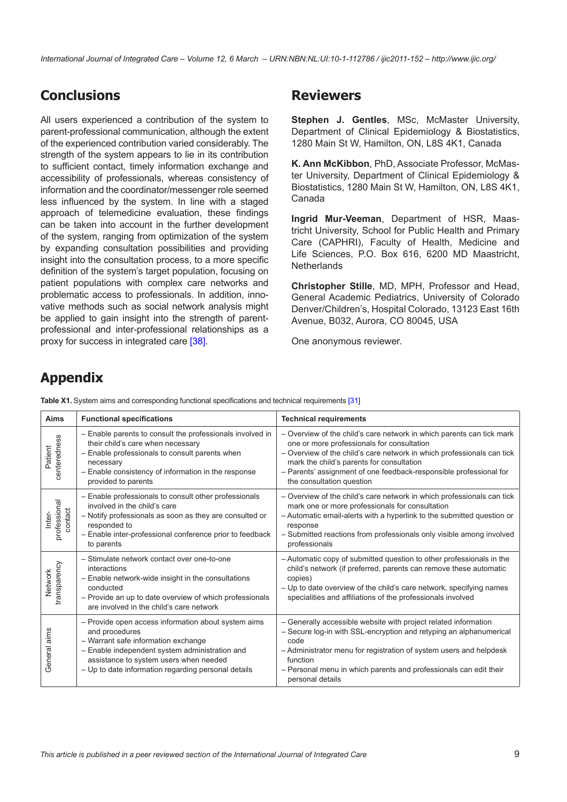*International Journal of Integrated Care – Volume 12, 6 March – URN:NBN:NL:UI:10-1-112786 / ijic2011-152 – http://www.ijic.org/*

# **Conclusions**

All users experienced a contribution of the system to parent-professional communication, although the extent of the experienced contribution varied considerably. The strength of the system appears to lie in its contribution to sufficient contact, timely information exchange and accessibility of professionals, whereas consistency of information and the coordinator/messenger role seemed less influenced by the system. In line with a staged approach of telemedicine evaluation, these findings can be taken into account in the further development of the system, ranging from optimization of the system by expanding consultation possibilities and providing insight into the consultation process, to a more specific definition of the system's target population, focusing on patient populations with complex care networks and problematic access to professionals. In addition, innovative methods such as social network analysis might be applied to gain insight into the strength of parentprofessional and inter-professional relationships as a proxy for success in integrated care [\[38](#page-10-0)].

## **Reviewers**

**Stephen J. Gentles**, MSc, McMaster University, Department of Clinical Epidemiology & Biostatistics, 1280 Main St W, Hamilton, ON, L8S 4K1, Canada

**K. Ann McKibbon**, PhD, Associate Professor, McMaster University, Department of Clinical Epidemiology & Biostatistics, 1280 Main St W, Hamilton, ON, L8S 4K1, Canada

**Ingrid Mur-Veeman**, Department of HSR, Maastricht University, School for Public Health and Primary Care (CAPHRI), Faculty of Health, Medicine and Life Sciences, P.O. Box 616, 6200 MD Maastricht, **Netherlands** 

**Christopher Stille**, MD, MPH, Professor and Head, General Academic Pediatrics, University of Colorado Denver/Children's, Hospital Colorado, 13123 East 16th Avenue, B032, Aurora, CO 80045, USA

One anonymous reviewer.

# **Appendix**

**Table X1.** System aims and corresponding functional specifications and technical requirements [[31](#page-10-0)]

| <b>Aims</b>                       | <b>Functional specifications</b>                                                                                                                                                                                                                                | <b>Technical requirements</b>                                                                                                                                                                                                                                                                                                                 |
|-----------------------------------|-----------------------------------------------------------------------------------------------------------------------------------------------------------------------------------------------------------------------------------------------------------------|-----------------------------------------------------------------------------------------------------------------------------------------------------------------------------------------------------------------------------------------------------------------------------------------------------------------------------------------------|
| centeredness<br>Patient           | - Enable parents to consult the professionals involved in<br>their child's care when necessary<br>- Enable professionals to consult parents when<br>necessary<br>- Enable consistency of information in the response<br>provided to parents                     | - Overview of the child's care network in which parents can tick mark<br>one or more professionals for consultation<br>- Overview of the child's care network in which professionals can tick<br>mark the child's parents for consultation<br>- Parents' assignment of one feedback-responsible professional for<br>the consultation question |
| professional<br>contact<br>Inter- | - Enable professionals to consult other professionals<br>involved in the child's care<br>- Notify professionals as soon as they are consulted or<br>responded to<br>- Enable inter-professional conference prior to feedback<br>to parents                      | - Overview of the child's care network in which professionals can tick<br>mark one or more professionals for consultation<br>- Automatic email-alerts with a hyperlink to the submitted question or<br>response<br>- Submitted reactions from professionals only visible among involved<br>professionals                                      |
| transparency<br>Network           | - Stimulate network contact over one-to-one<br>interactions<br>- Enable network-wide insight in the consultations<br>conducted<br>- Provide an up to date overview of which professionals<br>are involved in the child's care network                           | - Automatic copy of submitted question to other professionals in the<br>child's network (if preferred, parents can remove these automatic<br>copies)<br>- Up to date overview of the child's care network, specifying names<br>specialities and affiliations of the professionals involved                                                    |
| aims<br>General                   | - Provide open access information about system aims<br>and procedures<br>- Warrant safe information exchange<br>- Enable independent system administration and<br>assistance to system users when needed<br>- Up to date information regarding personal details | - Generally accessible website with project related information<br>- Secure log-in with SSL-encryption and retyping an alphanumerical<br>code<br>- Administrator menu for registration of system users and helpdesk<br>function<br>- Personal menu in which parents and professionals can edit their<br>personal details                      |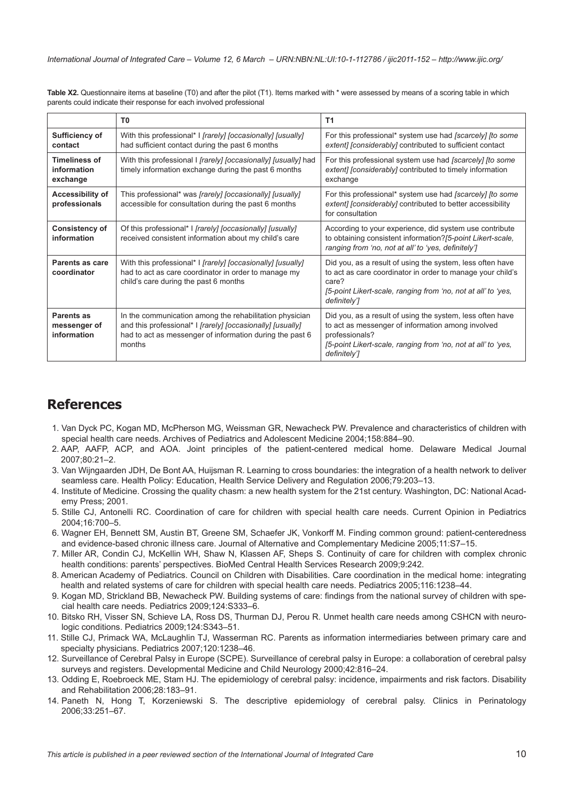<span id="page-9-0"></span>**Table X2.** Questionnaire items at baseline (T0) and after the pilot (T1). Items marked with \* were assessed by means of a scoring table in which parents could indicate their response for each involved professional

|                                                 | T0                                                                                                                                                                                          | Τ1                                                                                                                                                                                                                |
|-------------------------------------------------|---------------------------------------------------------------------------------------------------------------------------------------------------------------------------------------------|-------------------------------------------------------------------------------------------------------------------------------------------------------------------------------------------------------------------|
| Sufficiency of<br>contact                       | With this professional* I <i>[rarely] [occasionally] [usually]</i><br>had sufficient contact during the past 6 months                                                                       | For this professional* system use had [scarcely] [to some<br>extent] [considerably] contributed to sufficient contact                                                                                             |
| <b>Timeliness of</b><br>information<br>exchange | With this professional I <i>[rarely] [occasionally] [usually]</i> had<br>timely information exchange during the past 6 months                                                               | For this professional system use had [scarcely] [to some<br>extent] [considerably] contributed to timely information<br>exchange                                                                                  |
| Accessibility of<br>professionals               | This professional* was [rarely] [occasionally] [usually]<br>accessible for consultation during the past 6 months                                                                            | For this professional* system use had [scarcely] [to some<br>extent] [considerably] contributed to better accessibility<br>for consultation                                                                       |
| <b>Consistency of</b><br>information            | Of this professional* I [rarely] [occasionally] [usually]<br>received consistent information about my child's care                                                                          | According to your experience, did system use contribute<br>to obtaining consistent information? [5-point Likert-scale,<br>ranging from 'no, not at all' to 'yes, definitely']                                     |
| Parents as care<br>coordinator                  | With this professional* I <i>[rarely] [occasionally] [usually]</i><br>had to act as care coordinator in order to manage my<br>child's care during the past 6 months                         | Did you, as a result of using the system, less often have<br>to act as care coordinator in order to manage your child's<br>care?<br>[5-point Likert-scale, ranging from 'no, not at all' to 'yes,<br>definitely'] |
| Parents as<br>messenger of<br>information       | In the communication among the rehabilitation physician<br>and this professional* I [rarely] [occasionally] [usually]<br>had to act as messenger of information during the past 6<br>months | Did you, as a result of using the system, less often have<br>to act as messenger of information among involved<br>professionals?<br>[5-point Likert-scale, ranging from 'no, not at all' to 'yes,<br>definitely'] |

## **References**

- 1. Van Dyck PC, Kogan MD, McPherson MG, Weissman GR, Newacheck PW. Prevalence and characteristics of children with special health care needs. Archives of Pediatrics and Adolescent Medicine 2004;158:884–90.
- 2. AAP, AAFP, ACP, and AOA. Joint principles of the patient-centered medical home. Delaware Medical Journal 2007;80:21–2.
- 3. Van Wijngaarden JDH, De Bont AA, Huijsman R. Learning to cross boundaries: the integration of a health network to deliver seamless care. Health Policy: Education, Health Service Delivery and Regulation 2006;79:203–13.
- 4. Institute of Medicine. Crossing the quality chasm: a new health system for the 21st century. Washington, DC: National Academy Press; 2001.
- 5. Stille CJ, Antonelli RC. Coordination of care for children with special health care needs. Current Opinion in Pediatrics 2004;16:700–5.
- 6. Wagner EH, Bennett SM, Austin BT, Greene SM, Schaefer JK, Vonkorff M. Finding common ground: patient-centeredness and evidence-based chronic illness care. Journal of Alternative and Complementary Medicine 2005;11:S7–15.
- 7. Miller AR, Condin CJ, McKellin WH, Shaw N, Klassen AF, Sheps S. Continuity of care for children with complex chronic health conditions: parents' perspectives. BioMed Central Health Services Research 2009;9:242.
- 8. American Academy of Pediatrics. Council on Children with Disabilities. Care coordination in the medical home: integrating health and related systems of care for children with special health care needs. Pediatrics 2005;116:1238–44.
- 9. Kogan MD, Strickland BB, Newacheck PW. Building systems of care: findings from the national survey of children with special health care needs. Pediatrics 2009;124:S333–6.
- 10. Bitsko RH, Visser SN, Schieve LA, Ross DS, Thurman DJ, Perou R. Unmet health care needs among CSHCN with neurologic conditions. Pediatrics 2009;124:S343–51.
- 11. Stille CJ, Primack WA, McLaughlin TJ, Wasserman RC. Parents as information intermediaries between primary care and specialty physicians. Pediatrics 2007;120:1238–46.
- 12. Surveillance of Cerebral Palsy in Europe (SCPE). Surveillance of cerebral palsy in Europe: a collaboration of cerebral palsy surveys and registers. Developmental Medicine and Child Neurology 2000;42:816–24.
- 13. Odding E, Roebroeck ME, Stam HJ. The epidemiology of cerebral palsy: incidence, impairments and risk factors. Disability and Rehabilitation 2006;28:183–91.
- 14. Paneth N, Hong T, Korzeniewski S. The descriptive epidemiology of cerebral palsy. Clinics in Perinatology 2006;33:251–67.